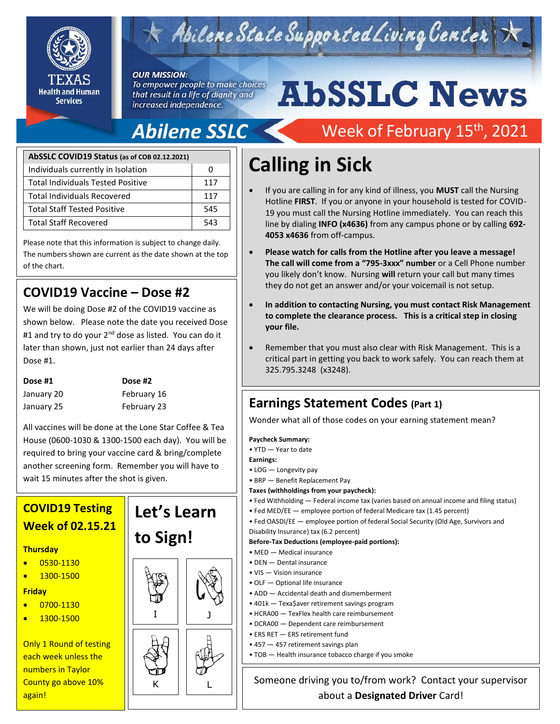

# Abilene State Supported Living Center

#### **OUR MISSION:**

To empower people to make choices that result in a life of dignity and increased independence.

# **AbSSLC News**

# **Abilene SSLC**

# Week of February 15<sup>th</sup>, 2021

|  | $\frac{1}{\sqrt{2}}$ Calling in Sick |
|--|--------------------------------------|
|  |                                      |

- If you are calling in for any kind of illness, you **MUST** call the Nursing Hotline **FIRST**. If you or anyone in your household is tested for COVID-19 you must call the Nursing Hotline immediately. You can reach this line by dialing **INFO (x4636)** from any campus phone or by calling **692- 4053 x4636** from off-campus.
- **Please watch for calls from the Hotline after you leave a message! The call will come from a "795-3xxx" number** or a Cell Phone number you likely don't know. Nursing **will** return your call but many times they do not get an answer and/or your voicemail is not setup.
- **In addition to contacting Nursing, you must contact Risk Management to complete the clearance process. This is a critical step in closing your file.**
- Remember that you must also clear with Risk Management. This is a critical part in getting you back to work safely. You can reach them at<br>225 705 2248 (x2248) 325.795.3248 (x3248).

## **Earnings Statement Codes (Part 1)**

Wonder what all of those codes on your earning statement mean?

**Paycheck Summary:**

• YTD — Year to date

**Earnings:**

- LOG Longevity pay
- BRP Benefit Replacement Pay **Taxes (withholdings from your paycheck):**
- Fed Withholding Federal income tax (varies based on annual income and filing status)
- Fed MED/EE employee portion of federal Medicare tax (1.45 percent)

• Fed OASDI/EE — employee portion of federal Social Security (Old Age, Survivors and Disability Insurance) tax (6.2 percent)

#### **Before-Tax Deductions (employee-paid portions):**

- MED Medical insurance
- DEN Dental insurance
- VIS Vision insurance
- OLF Optional life insurance
- ADD Accidental death and dismemberment
- 401k Texa\$aver retirement savings program • HCRA00 — TexFlex health care reimbursement
- DCRA00 Dependent care reimbursement
- ERS RET ERS retirement fund
- 457 457 retirement savings plan
- TOB Health insurance tobacco charge if you smoke

Someone driving you to/from work? Contact your supervisor about a **Designated Driver** Card!

| AbSSLC COVID19 Status (as of COB 02.12.2021) |     |  |  |
|----------------------------------------------|-----|--|--|
| Individuals currently in Isolation           |     |  |  |
| <b>Total Individuals Tested Positive</b>     | 117 |  |  |
| Total Individuals Recovered                  | 117 |  |  |
| <b>Total Staff Tested Positive</b>           | 545 |  |  |
| <b>Total Staff Recovered</b>                 | 543 |  |  |

Please note that this information is subject to change daily. The numbers shown are current as the date shown at the top of the chart.

## **COVID19 Vaccine – Dose #2**

We will be doing Dose #2 of the COVID19 vaccine as shown below. Please note the date you received Dose #1 and try to do your 2<sup>nd</sup> dose as listed. You can do it later than shown, just not earlier than 24 days after Dose #1.

| Dose #1    | Dose #2     |
|------------|-------------|
| January 20 | February 16 |
| January 25 | February 23 |

All vaccines will be done at the Lone Star Coffee & Tea House (0600-1030 & 1300-1500 each day). You will be required to bring your vaccine card & bring/complete another screening form. Remember you will have to wait 15 minutes after the shot is given.

## **COVID19 Testing Week of 02.15.21**

#### **Thursday**

- 0530-1130
- 1300-1500

#### **Friday**

- 0700-1130
- 1300-1500

Only 1 Round of testing each week unless the numbers in Taylor County go above 10% again!



**Let's Learn**